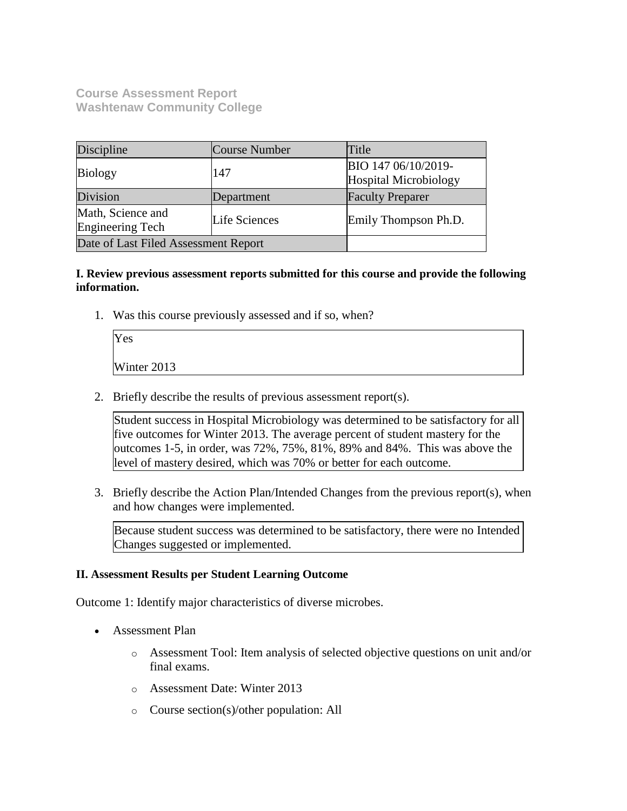**Course Assessment Report Washtenaw Community College**

| Discipline                                   | Course Number | Title                                        |
|----------------------------------------------|---------------|----------------------------------------------|
| <b>Biology</b>                               | 147           | BIO 147 06/10/2019-<br>Hospital Microbiology |
| Division                                     | Department    | <b>Faculty Preparer</b>                      |
| Math, Science and<br><b>Engineering Tech</b> | Life Sciences | Emily Thompson Ph.D.                         |
| Date of Last Filed Assessment Report         |               |                                              |

## **I. Review previous assessment reports submitted for this course and provide the following information.**

1. Was this course previously assessed and if so, when?

| Yes         |  |  |
|-------------|--|--|
| Winter 2013 |  |  |

2. Briefly describe the results of previous assessment report(s).

Student success in Hospital Microbiology was determined to be satisfactory for all five outcomes for Winter 2013. The average percent of student mastery for the outcomes 1-5, in order, was 72%, 75%, 81%, 89% and 84%. This was above the level of mastery desired, which was 70% or better for each outcome.

3. Briefly describe the Action Plan/Intended Changes from the previous report(s), when and how changes were implemented.

Because student success was determined to be satisfactory, there were no Intended Changes suggested or implemented.

### **II. Assessment Results per Student Learning Outcome**

Outcome 1: Identify major characteristics of diverse microbes.

- Assessment Plan
	- o Assessment Tool: Item analysis of selected objective questions on unit and/or final exams.
	- o Assessment Date: Winter 2013
	- o Course section(s)/other population: All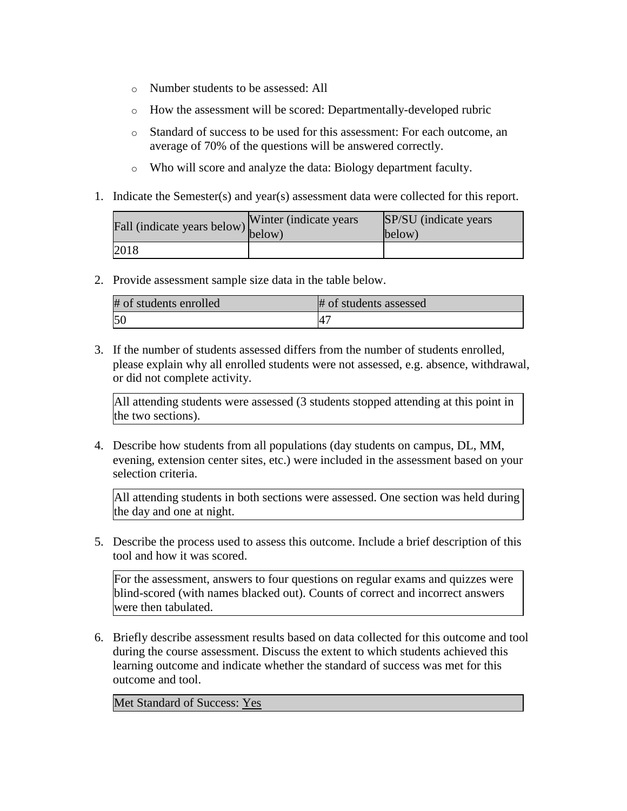- o Number students to be assessed: All
- o How the assessment will be scored: Departmentally-developed rubric
- o Standard of success to be used for this assessment: For each outcome, an average of 70% of the questions will be answered correctly.
- o Who will score and analyze the data: Biology department faculty.
- 1. Indicate the Semester(s) and year(s) assessment data were collected for this report.

| Fall (indicate years below) below) | Winter (indicate years) | SP/SU (indicate years)<br>below) |
|------------------------------------|-------------------------|----------------------------------|
| 2018                               |                         |                                  |

2. Provide assessment sample size data in the table below.

| # of students enrolled | # of students assessed |
|------------------------|------------------------|
| 5 <sub>C</sub>         |                        |

3. If the number of students assessed differs from the number of students enrolled, please explain why all enrolled students were not assessed, e.g. absence, withdrawal, or did not complete activity.

All attending students were assessed (3 students stopped attending at this point in the two sections).

4. Describe how students from all populations (day students on campus, DL, MM, evening, extension center sites, etc.) were included in the assessment based on your selection criteria.

All attending students in both sections were assessed. One section was held during the day and one at night.

5. Describe the process used to assess this outcome. Include a brief description of this tool and how it was scored.

For the assessment, answers to four questions on regular exams and quizzes were blind-scored (with names blacked out). Counts of correct and incorrect answers were then tabulated.

6. Briefly describe assessment results based on data collected for this outcome and tool during the course assessment. Discuss the extent to which students achieved this learning outcome and indicate whether the standard of success was met for this outcome and tool.

Met Standard of Success: Yes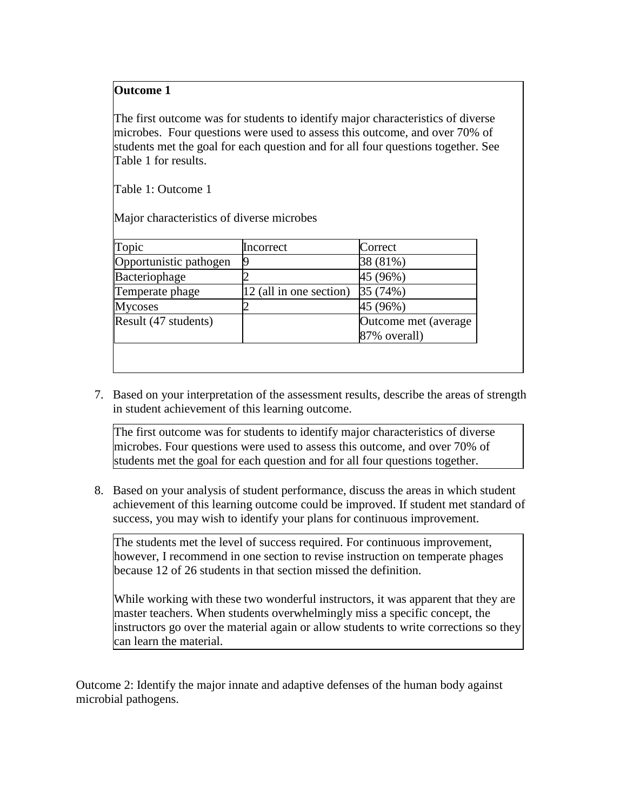# **Outcome 1**

The first outcome was for students to identify major characteristics of diverse microbes. Four questions were used to assess this outcome, and over 70% of students met the goal for each question and for all four questions together. See Table 1 for results.

Table 1: Outcome 1

Major characteristics of diverse microbes

| Topic                  | Incorrect               | Correct                               |
|------------------------|-------------------------|---------------------------------------|
| Opportunistic pathogen |                         | 38 (81%)                              |
| Bacteriophage          |                         | 45 (96%)                              |
| Temperate phage        | 12 (all in one section) | 35 (74%)                              |
| Mycoses                |                         | 45 (96%)                              |
| Result (47 students)   |                         | Outcome met (average)<br>87% overall) |

7. Based on your interpretation of the assessment results, describe the areas of strength in student achievement of this learning outcome.

The first outcome was for students to identify major characteristics of diverse microbes. Four questions were used to assess this outcome, and over 70% of students met the goal for each question and for all four questions together.

8. Based on your analysis of student performance, discuss the areas in which student achievement of this learning outcome could be improved. If student met standard of success, you may wish to identify your plans for continuous improvement.

The students met the level of success required. For continuous improvement, however, I recommend in one section to revise instruction on temperate phages because 12 of 26 students in that section missed the definition.

While working with these two wonderful instructors, it was apparent that they are master teachers. When students overwhelmingly miss a specific concept, the instructors go over the material again or allow students to write corrections so they can learn the material.

Outcome 2: Identify the major innate and adaptive defenses of the human body against microbial pathogens.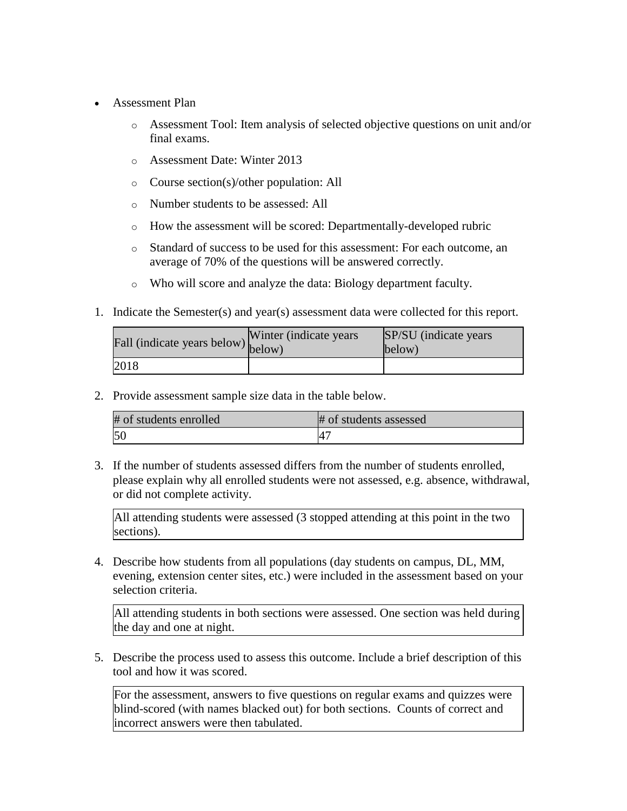- Assessment Plan
	- o Assessment Tool: Item analysis of selected objective questions on unit and/or final exams.
	- o Assessment Date: Winter 2013
	- o Course section(s)/other population: All
	- o Number students to be assessed: All
	- o How the assessment will be scored: Departmentally-developed rubric
	- o Standard of success to be used for this assessment: For each outcome, an average of 70% of the questions will be answered correctly.
	- o Who will score and analyze the data: Biology department faculty.
- 1. Indicate the Semester(s) and year(s) assessment data were collected for this report.

| Fall (indicate years below) below) | Winter (indicate years) | SP/SU (indicate years)<br>below) |
|------------------------------------|-------------------------|----------------------------------|
| 2018                               |                         |                                  |

2. Provide assessment sample size data in the table below.

| # of students enrolled | # of students assessed |
|------------------------|------------------------|
| 5 <sub>0</sub>         |                        |

3. If the number of students assessed differs from the number of students enrolled, please explain why all enrolled students were not assessed, e.g. absence, withdrawal, or did not complete activity.

All attending students were assessed (3 stopped attending at this point in the two sections).

4. Describe how students from all populations (day students on campus, DL, MM, evening, extension center sites, etc.) were included in the assessment based on your selection criteria.

All attending students in both sections were assessed. One section was held during the day and one at night.

5. Describe the process used to assess this outcome. Include a brief description of this tool and how it was scored.

For the assessment, answers to five questions on regular exams and quizzes were blind-scored (with names blacked out) for both sections. Counts of correct and incorrect answers were then tabulated.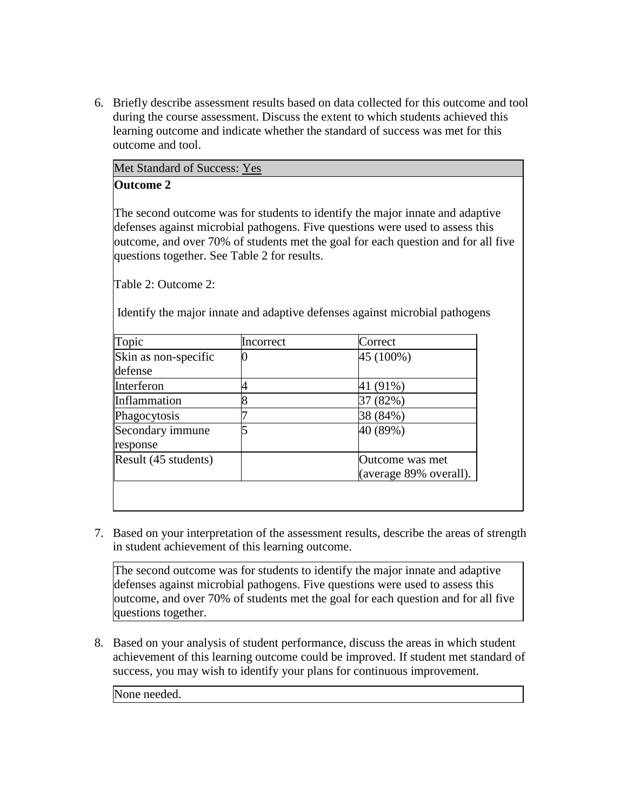6. Briefly describe assessment results based on data collected for this outcome and tool during the course assessment. Discuss the extent to which students achieved this learning outcome and indicate whether the standard of success was met for this outcome and tool.

| Met Standard of Success: Yes |  |
|------------------------------|--|
| <b>Outcome 2</b>             |  |

The second outcome was for students to identify the major innate and adaptive defenses against microbial pathogens. Five questions were used to assess this outcome, and over 70% of students met the goal for each question and for all five questions together. See Table 2 for results.

Table 2: Outcome 2:

Identify the major innate and adaptive defenses against microbial pathogens

| Topic                           | Incorrect | Correct                                   |
|---------------------------------|-----------|-------------------------------------------|
| Skin as non-specific<br>defense |           | 45 (100%)                                 |
| Interferon                      |           | $(91\%)$                                  |
| Inflammation                    |           | (82%)                                     |
| Phagocytosis                    |           | 38 (84%)                                  |
| Secondary immune<br>response    |           | 40 (89%)                                  |
| Result $(45$ students)          |           | Outcome was met<br>(average 89% overall). |

7. Based on your interpretation of the assessment results, describe the areas of strength in student achievement of this learning outcome.

The second outcome was for students to identify the major innate and adaptive defenses against microbial pathogens. Five questions were used to assess this outcome, and over 70% of students met the goal for each question and for all five questions together.

8. Based on your analysis of student performance, discuss the areas in which student achievement of this learning outcome could be improved. If student met standard of success, you may wish to identify your plans for continuous improvement.

None needed.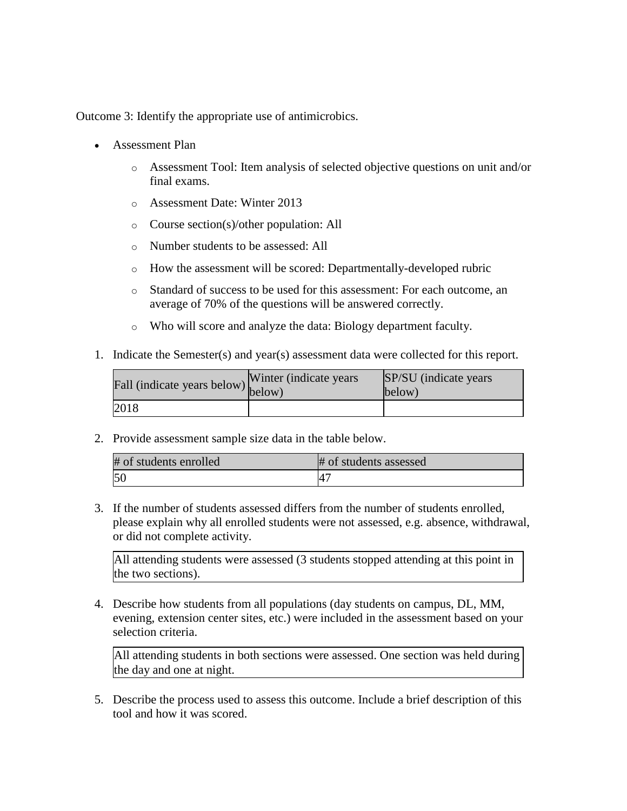Outcome 3: Identify the appropriate use of antimicrobics.

- Assessment Plan
	- o Assessment Tool: Item analysis of selected objective questions on unit and/or final exams.
	- o Assessment Date: Winter 2013
	- o Course section(s)/other population: All
	- o Number students to be assessed: All
	- o How the assessment will be scored: Departmentally-developed rubric
	- o Standard of success to be used for this assessment: For each outcome, an average of 70% of the questions will be answered correctly.
	- o Who will score and analyze the data: Biology department faculty.
- 1. Indicate the Semester(s) and year(s) assessment data were collected for this report.

| Fall (indicate years below) below) | Winter (indicate years) | SP/SU (indicate years)<br>below) |
|------------------------------------|-------------------------|----------------------------------|
| 2018                               |                         |                                  |

2. Provide assessment sample size data in the table below.

| # of students enrolled | # of students assessed     |
|------------------------|----------------------------|
| 50                     | $\mathcal{A}^{\mathsf{r}}$ |

3. If the number of students assessed differs from the number of students enrolled, please explain why all enrolled students were not assessed, e.g. absence, withdrawal, or did not complete activity.

All attending students were assessed (3 students stopped attending at this point in the two sections).

4. Describe how students from all populations (day students on campus, DL, MM, evening, extension center sites, etc.) were included in the assessment based on your selection criteria.

All attending students in both sections were assessed. One section was held during the day and one at night.

5. Describe the process used to assess this outcome. Include a brief description of this tool and how it was scored.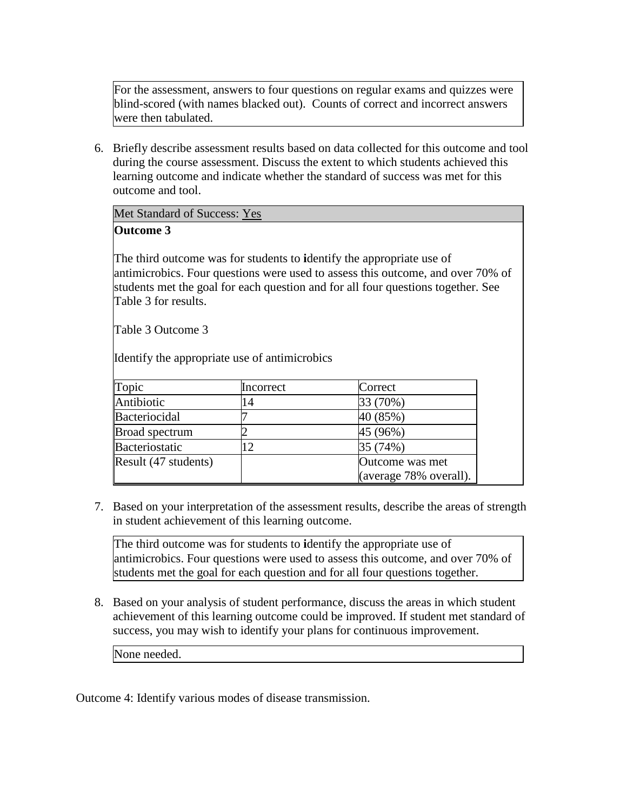For the assessment, answers to four questions on regular exams and quizzes were blind-scored (with names blacked out). Counts of correct and incorrect answers were then tabulated.

6. Briefly describe assessment results based on data collected for this outcome and tool during the course assessment. Discuss the extent to which students achieved this learning outcome and indicate whether the standard of success was met for this outcome and tool.

Met Standard of Success: Yes

# **Outcome 3**

The third outcome was for students to **i**dentify the appropriate use of antimicrobics. Four questions were used to assess this outcome, and over 70% of students met the goal for each question and for all four questions together. See Table 3 for results.

Table 3 Outcome 3

Identify the appropriate use of antimicrobics

| Topic                 | Incorrect      | Correct                |
|-----------------------|----------------|------------------------|
| Antibiotic            | $\overline{4}$ | 33 (70%)               |
| Bacteriocidal         |                | 40 (85%)               |
| <b>Broad spectrum</b> |                | 45 (96%)               |
| Bacteriostatic        | $\mathcal{D}$  | 35 (74%)               |
| Result (47 students)  |                | Outcome was met        |
|                       |                | (average 78% overall). |

7. Based on your interpretation of the assessment results, describe the areas of strength in student achievement of this learning outcome.

The third outcome was for students to **i**dentify the appropriate use of antimicrobics. Four questions were used to assess this outcome, and over 70% of students met the goal for each question and for all four questions together.

8. Based on your analysis of student performance, discuss the areas in which student achievement of this learning outcome could be improved. If student met standard of success, you may wish to identify your plans for continuous improvement.

None needed.

Outcome 4: Identify various modes of disease transmission.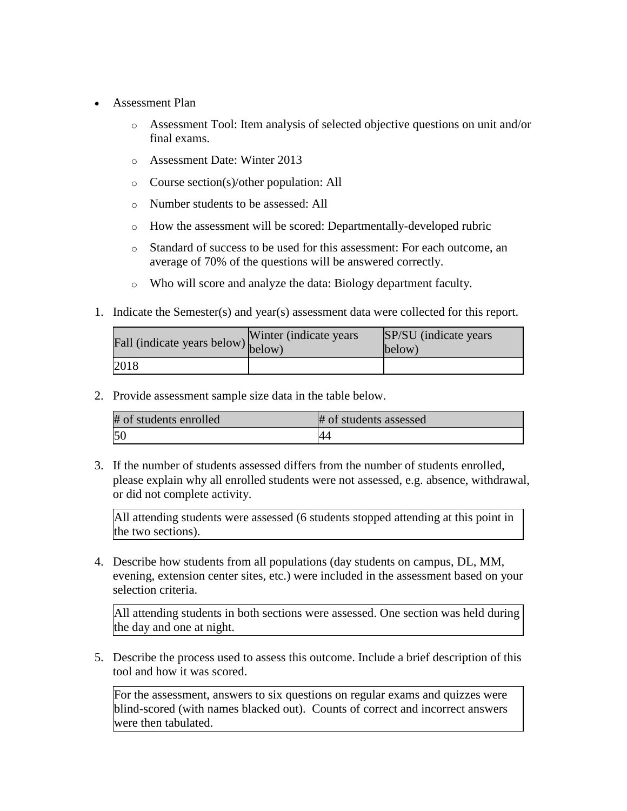- Assessment Plan
	- o Assessment Tool: Item analysis of selected objective questions on unit and/or final exams.
	- o Assessment Date: Winter 2013
	- o Course section(s)/other population: All
	- o Number students to be assessed: All
	- o How the assessment will be scored: Departmentally-developed rubric
	- o Standard of success to be used for this assessment: For each outcome, an average of 70% of the questions will be answered correctly.
	- o Who will score and analyze the data: Biology department faculty.
- 1. Indicate the Semester(s) and year(s) assessment data were collected for this report.

| Fall (indicate years below) below) | Winter (indicate years) | SP/SU (indicate years)<br>below) |
|------------------------------------|-------------------------|----------------------------------|
| 2018                               |                         |                                  |

2. Provide assessment sample size data in the table below.

| # of students enrolled | # of students assessed |
|------------------------|------------------------|
| 50                     |                        |

3. If the number of students assessed differs from the number of students enrolled, please explain why all enrolled students were not assessed, e.g. absence, withdrawal, or did not complete activity.

All attending students were assessed (6 students stopped attending at this point in the two sections).

4. Describe how students from all populations (day students on campus, DL, MM, evening, extension center sites, etc.) were included in the assessment based on your selection criteria.

All attending students in both sections were assessed. One section was held during the day and one at night.

5. Describe the process used to assess this outcome. Include a brief description of this tool and how it was scored.

For the assessment, answers to six questions on regular exams and quizzes were blind-scored (with names blacked out). Counts of correct and incorrect answers were then tabulated.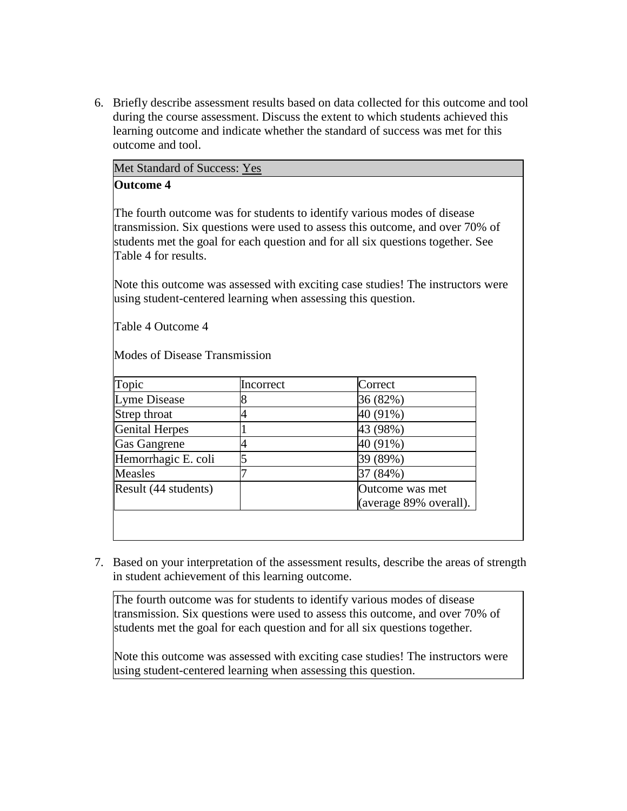6. Briefly describe assessment results based on data collected for this outcome and tool during the course assessment. Discuss the extent to which students achieved this learning outcome and indicate whether the standard of success was met for this outcome and tool.

|  | Met Standard of Success: Yes |  |
|--|------------------------------|--|
|  |                              |  |

# **Outcome 4**

The fourth outcome was for students to identify various modes of disease transmission. Six questions were used to assess this outcome, and over 70% of students met the goal for each question and for all six questions together. See Table 4 for results.

Note this outcome was assessed with exciting case studies! The instructors were using student-centered learning when assessing this question.

Table 4 Outcome 4

Modes of Disease Transmission

| Topic                  | Incorrect | Correct                |
|------------------------|-----------|------------------------|
| Lyme Disease           |           | 36 (82%)               |
| Strep throat           |           | 40 (91%)               |
| Genital Herpes         |           | 43 (98%)               |
| Gas Gangrene           |           | 40 (91%)               |
| Hemorrhagic E. coli    |           | 39 (89%)               |
| <b>Measles</b>         |           | 37 (84%)               |
| Result $(44$ students) |           | Outcome was met        |
|                        |           | (average 89% overall). |

7. Based on your interpretation of the assessment results, describe the areas of strength in student achievement of this learning outcome.

The fourth outcome was for students to identify various modes of disease transmission. Six questions were used to assess this outcome, and over 70% of students met the goal for each question and for all six questions together.

Note this outcome was assessed with exciting case studies! The instructors were using student-centered learning when assessing this question.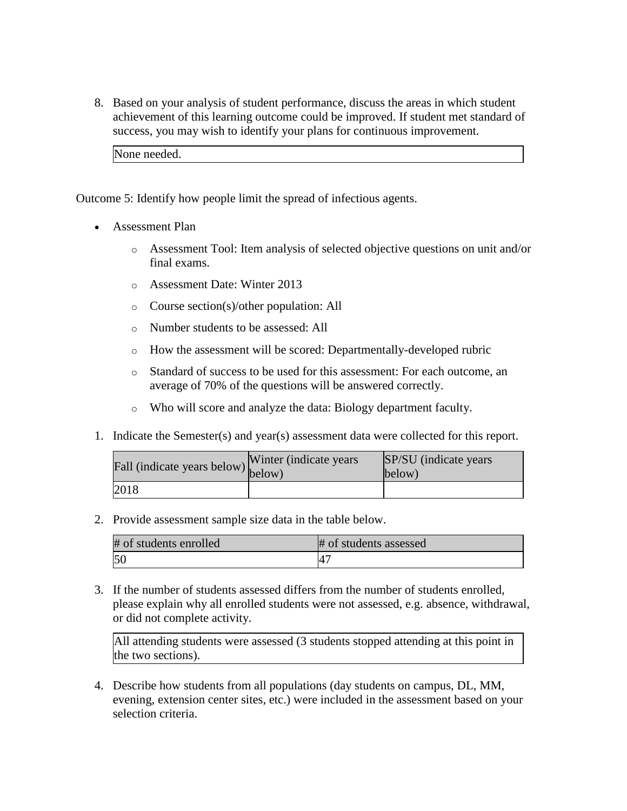8. Based on your analysis of student performance, discuss the areas in which student achievement of this learning outcome could be improved. If student met standard of success, you may wish to identify your plans for continuous improvement.

None needed.

Outcome 5: Identify how people limit the spread of infectious agents.

- Assessment Plan
	- o Assessment Tool: Item analysis of selected objective questions on unit and/or final exams.
	- o Assessment Date: Winter 2013
	- o Course section(s)/other population: All
	- o Number students to be assessed: All
	- o How the assessment will be scored: Departmentally-developed rubric
	- o Standard of success to be used for this assessment: For each outcome, an average of 70% of the questions will be answered correctly.
	- o Who will score and analyze the data: Biology department faculty.
- 1. Indicate the Semester(s) and year(s) assessment data were collected for this report.

| Fall (indicate years below) below) | Winter (indicate years) | SP/SU (indicate years)<br>below) |
|------------------------------------|-------------------------|----------------------------------|
| 2018                               |                         |                                  |

2. Provide assessment sample size data in the table below.

| # of students enrolled | # of students assessed |
|------------------------|------------------------|
| 50                     | $\mathsf{A}^\tau$      |

3. If the number of students assessed differs from the number of students enrolled, please explain why all enrolled students were not assessed, e.g. absence, withdrawal, or did not complete activity.

All attending students were assessed (3 students stopped attending at this point in the two sections).

4. Describe how students from all populations (day students on campus, DL, MM, evening, extension center sites, etc.) were included in the assessment based on your selection criteria.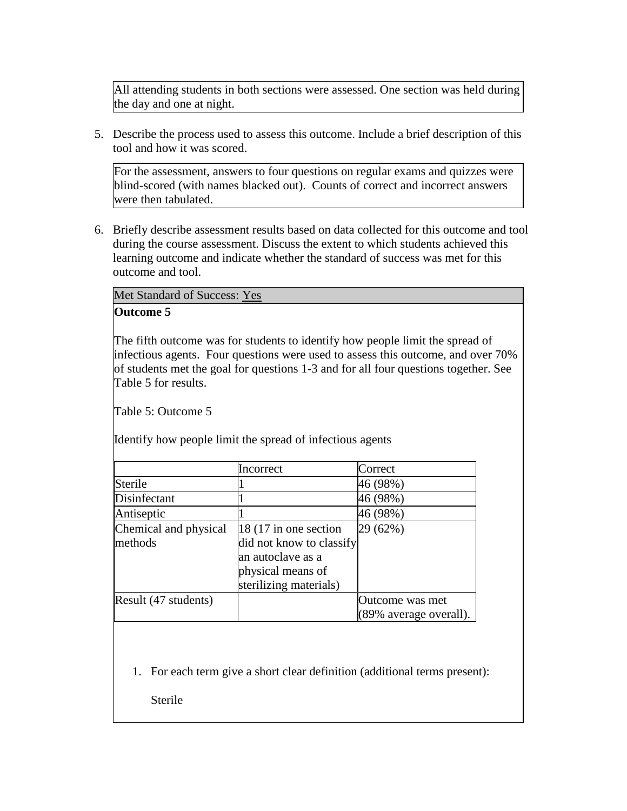All attending students in both sections were assessed. One section was held during the day and one at night.

5. Describe the process used to assess this outcome. Include a brief description of this tool and how it was scored.

For the assessment, answers to four questions on regular exams and quizzes were blind-scored (with names blacked out). Counts of correct and incorrect answers were then tabulated.

6. Briefly describe assessment results based on data collected for this outcome and tool during the course assessment. Discuss the extent to which students achieved this learning outcome and indicate whether the standard of success was met for this outcome and tool.

Met Standard of Success: Yes

# **Outcome 5**

The fifth outcome was for students to identify how people limit the spread of infectious agents. Four questions were used to assess this outcome, and over 70% of students met the goal for questions 1-3 and for all four questions together. See Table 5 for results.

Table 5: Outcome 5

Identify how people limit the spread of infectious agents

|                       | Incorrect                | Correct                |
|-----------------------|--------------------------|------------------------|
| Sterile               |                          | 46 (98%)               |
| Disinfectant          |                          | 46 (98%)               |
| Antiseptic            |                          | 46 (98%)               |
| Chemical and physical | 18 (17 in one section    | 29 (62%)               |
| methods               | did not know to classify |                        |
|                       | an autoclave as a        |                        |
|                       | physical means of        |                        |
|                       | sterilizing materials)   |                        |
| Result (47 students)  |                          | Outcome was met        |
|                       |                          | (89% average overall). |

1. For each term give a short clear definition (additional terms present):

Sterile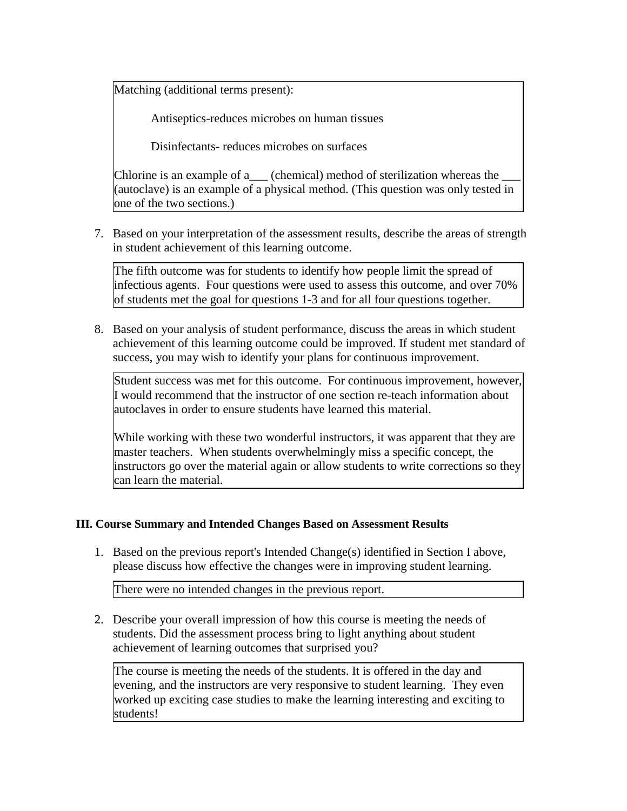Matching (additional terms present):

Antiseptics-reduces microbes on human tissues

Disinfectants- reduces microbes on surfaces

Chlorine is an example of a  $\qquad$  (chemical) method of sterilization whereas the (autoclave) is an example of a physical method. (This question was only tested in one of the two sections.)

7. Based on your interpretation of the assessment results, describe the areas of strength in student achievement of this learning outcome.

The fifth outcome was for students to identify how people limit the spread of infectious agents. Four questions were used to assess this outcome, and over 70% of students met the goal for questions 1-3 and for all four questions together.

8. Based on your analysis of student performance, discuss the areas in which student achievement of this learning outcome could be improved. If student met standard of success, you may wish to identify your plans for continuous improvement.

Student success was met for this outcome. For continuous improvement, however, I would recommend that the instructor of one section re-teach information about autoclaves in order to ensure students have learned this material.

While working with these two wonderful instructors, it was apparent that they are master teachers. When students overwhelmingly miss a specific concept, the instructors go over the material again or allow students to write corrections so they can learn the material.

# **III. Course Summary and Intended Changes Based on Assessment Results**

1. Based on the previous report's Intended Change(s) identified in Section I above, please discuss how effective the changes were in improving student learning.

There were no intended changes in the previous report.

2. Describe your overall impression of how this course is meeting the needs of students. Did the assessment process bring to light anything about student achievement of learning outcomes that surprised you?

The course is meeting the needs of the students. It is offered in the day and evening, and the instructors are very responsive to student learning. They even worked up exciting case studies to make the learning interesting and exciting to students!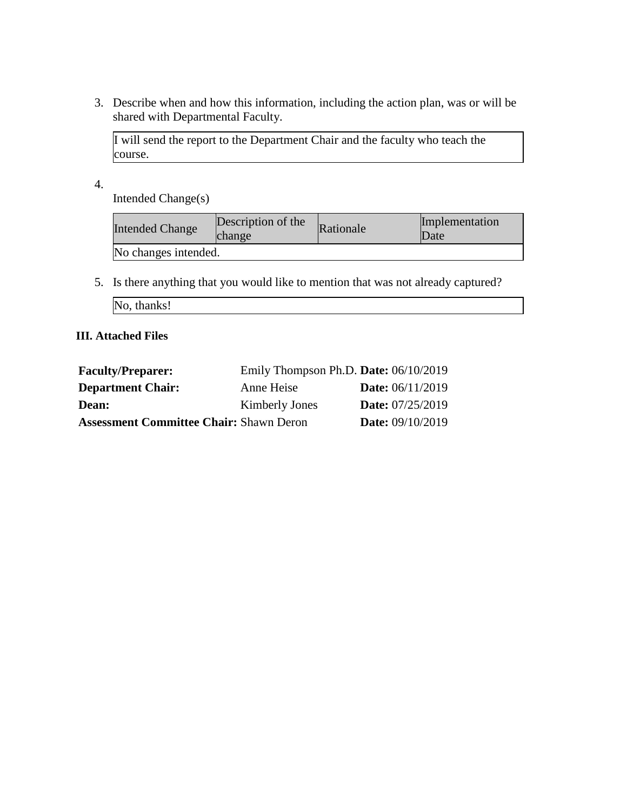3. Describe when and how this information, including the action plan, was or will be shared with Departmental Faculty.

I will send the report to the Department Chair and the faculty who teach the course.

4.

Intended Change(s)

| <b>Intended Change</b> | Description of the<br>change | Rationale | Implementation<br>Date |
|------------------------|------------------------------|-----------|------------------------|
| No changes intended.   |                              |           |                        |

5. Is there anything that you would like to mention that was not already captured?

| No, thanks! |
|-------------|
|             |

# **III. Attached Files**

| <b>Faculty/Preparer:</b>                       | Emily Thompson Ph.D. Date: $06/10/2019$ |                           |
|------------------------------------------------|-----------------------------------------|---------------------------|
| <b>Department Chair:</b>                       | Anne Heise                              | <b>Date:</b> $06/11/2019$ |
| Dean:                                          | <b>Kimberly Jones</b>                   | <b>Date:</b> 07/25/2019   |
| <b>Assessment Committee Chair: Shawn Deron</b> |                                         | <b>Date:</b> 09/10/2019   |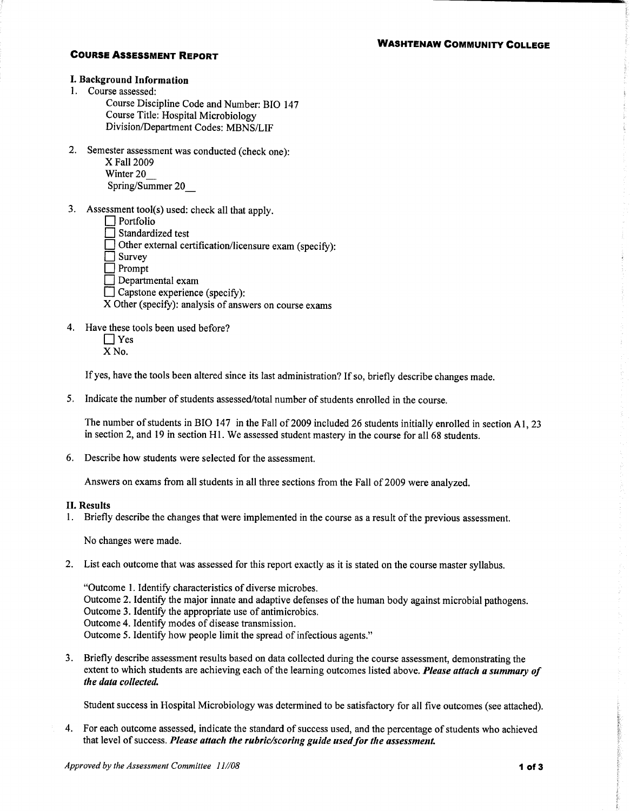#### **WASHTENAW COMMUNITY COLLEGE**

### **COURSE ASSESSMENT REPORT**

### I. Background Information

1. Course assessed:

Course Discipline Code and Number: BIO 147 Course Title: Hospital Microbiology Division/Department Codes: MBNS/LIF

2. Semester assessment was conducted (check one):

X Fall 2009 Winter 20 Spring/Summer 20

- 3. Assessment tool(s) used: check all that apply.
	- $\Box$  Portfolio

I Standardized test

Other external certification/licensure exam (specify):

 $\Box$  Survey

 $\Box$  Prompt

 $\Box$  Departmental exam

Capstone experience (specify):

X Other (specify): analysis of answers on course exams

4. Have these tools been used before?

 $\Box$  Yes X<sub>No.</sub>

If yes, have the tools been altered since its last administration? If so, briefly describe changes made.

5. Indicate the number of students assessed/total number of students enrolled in the course.

The number of students in BIO 147 in the Fall of 2009 included 26 students initially enrolled in section A1, 23 in section 2, and 19 in section H1. We assessed student mastery in the course for all 68 students.

6. Describe how students were selected for the assessment.

Answers on exams from all students in all three sections from the Fall of 2009 were analyzed.

#### **II. Results**

1. Briefly describe the changes that were implemented in the course as a result of the previous assessment.

No changes were made.

2. List each outcome that was assessed for this report exactly as it is stated on the course master syllabus.

"Outcome 1. Identify characteristics of diverse microbes. Outcome 2. Identify the major innate and adaptive defenses of the human body against microbial pathogens. Outcome 3. Identify the appropriate use of antimicrobics. Outcome 4. Identify modes of disease transmission. Outcome 5. Identify how people limit the spread of infectious agents."

3. Briefly describe assessment results based on data collected during the course assessment, demonstrating the extent to which students are achieving each of the learning outcomes listed above. Please attach a summary of the data collected.

Student success in Hospital Microbiology was determined to be satisfactory for all five outcomes (see attached).

4. For each outcome assessed, indicate the standard of success used, and the percentage of students who achieved that level of success. Please attach the rubric/scoring guide used for the assessment.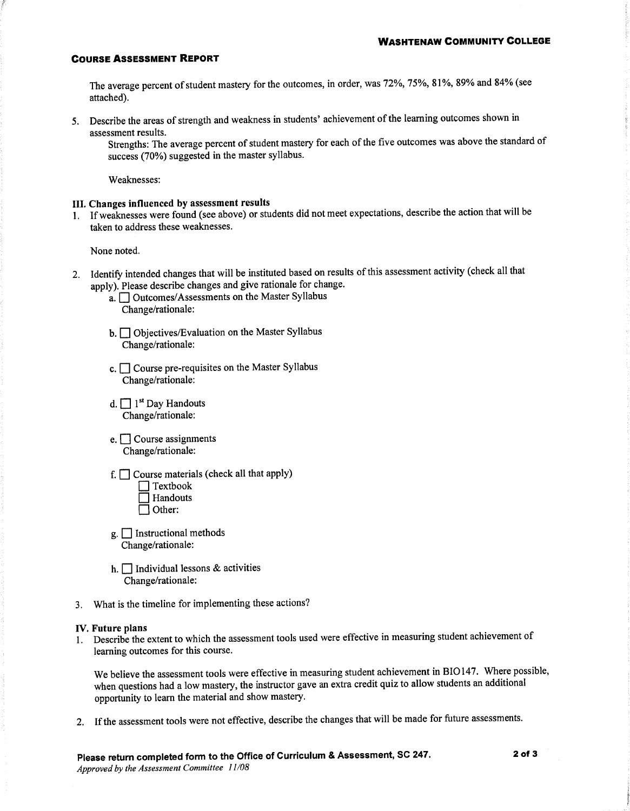#### **COURSE ASSESSMENT REPORT**

The average percent of student mastery for the outcomes, in order, was 72%, 75%, 81%, 89% and 84% (see attached).

5. Describe the areas of strength and weakness in students' achievement of the learning outcomes shown in assessment results.

Strengths: The average percent of student mastery for each of the five outcomes was above the standard of success (70%) suggested in the master syllabus.

Weaknesses:

### III. Changes influenced by assessment results

1. If weaknesses were found (see above) or students did not meet expectations, describe the action that will be taken to address these weaknesses.

None noted.

- 2. Identify intended changes that will be instituted based on results of this assessment activity (check all that apply). Please describe changes and give rationale for change.
	- a. <u>Outcomes</u>/Assessments on the Master Syllabus Change/rationale:
	- b. Objectives/Evaluation on the Master Syllabus Change/rationale:
	- c.  $\Box$  Course pre-requisites on the Master Syllabus Change/rationale:
	- d.  $\Box$  1<sup>st</sup> Day Handouts Change/rationale:
	- $e.$  Course assignments Change/rationale:
	- f.  $\Box$  Course materials (check all that apply)
		- Textbook<br>
		Handouts  $\Box$  Other:
	- $g$ .  $\Box$  Instructional methods Change/rationale:
	- h.  $\Box$  Individual lessons & activities Change/rationale:
- 3. What is the timeline for implementing these actions?

#### IV. Future plans

1. Describe the extent to which the assessment tools used were effective in measuring student achievement of learning outcomes for this course.

We believe the assessment tools were effective in measuring student achievement in BIO147. Where possible, when questions had a low mastery, the instructor gave an extra credit quiz to allow students an additional opportunity to learn the material and show mastery.

2. If the assessment tools were not effective, describe the changes that will be made for future assessments.